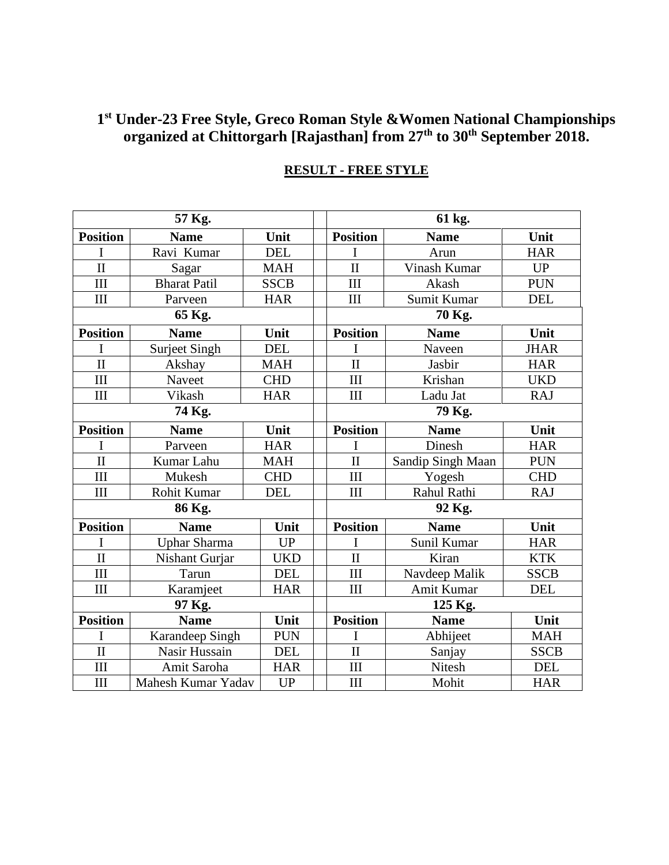### **1 st Under-23 Free Style, Greco Roman Style &Women National Championships organized at Chittorgarh [Rajasthan] from 27th to 30th September 2018.**

| 57 Kg.                  |                      |             |  | 61 kg.                  |                   |             |  |
|-------------------------|----------------------|-------------|--|-------------------------|-------------------|-------------|--|
| <b>Position</b>         | <b>Name</b>          | Unit        |  | <b>Position</b>         | <b>Name</b>       | Unit        |  |
| I                       | Ravi Kumar           | <b>DEL</b>  |  |                         | Arun              | <b>HAR</b>  |  |
| $\overline{\rm II}$     | Sagar                | <b>MAH</b>  |  | $\overline{\rm II}$     | Vinash Kumar      | <b>UP</b>   |  |
| III                     | <b>Bharat Patil</b>  | <b>SSCB</b> |  | III                     | Akash             | <b>PUN</b>  |  |
| III                     | Parveen              | <b>HAR</b>  |  | III                     | Sumit Kumar       | <b>DEL</b>  |  |
| 65 Kg.                  |                      |             |  | 70 Kg.                  |                   |             |  |
| <b>Position</b>         | <b>Name</b>          | Unit        |  | <b>Position</b>         | <b>Name</b>       | Unit        |  |
| I                       | <b>Surjeet Singh</b> | <b>DEL</b>  |  | I                       | Naveen            | <b>JHAR</b> |  |
| $\overline{\rm II}$     | Akshay               | <b>MAH</b>  |  | $\overline{\rm II}$     | Jasbir            | <b>HAR</b>  |  |
| III                     | Naveet               | <b>CHD</b>  |  | III                     | Krishan           | <b>UKD</b>  |  |
| III                     | Vikash               | <b>HAR</b>  |  | III                     | Ladu Jat          | <b>RAJ</b>  |  |
| 74 Kg.                  |                      |             |  | 79 Kg.                  |                   |             |  |
| <b>Position</b>         | <b>Name</b>          | Unit        |  | <b>Position</b>         | <b>Name</b>       | Unit        |  |
| I                       | Parveen              | <b>HAR</b>  |  | I                       | Dinesh            | <b>HAR</b>  |  |
| $\overline{\rm II}$     | Kumar Lahu           | <b>MAH</b>  |  | $\mathbf{I}$            | Sandip Singh Maan | <b>PUN</b>  |  |
| III                     | Mukesh               | <b>CHD</b>  |  | III                     | Yogesh            | <b>CHD</b>  |  |
| III                     | <b>Rohit Kumar</b>   | <b>DEL</b>  |  | III                     | Rahul Rathi       | <b>RAJ</b>  |  |
| 86 Kg.                  |                      |             |  | 92 Kg.                  |                   |             |  |
| <b>Position</b>         | <b>Name</b>          | Unit        |  | <b>Position</b>         | <b>Name</b>       | Unit        |  |
| I                       | <b>Uphar Sharma</b>  | <b>UP</b>   |  | I                       | Sunil Kumar       | <b>HAR</b>  |  |
| $\overline{\mathbf{u}}$ | Nishant Gurjar       | <b>UKD</b>  |  | $\overline{\mathbf{u}}$ | Kiran             | <b>KTK</b>  |  |
| III                     | Tarun                | <b>DEL</b>  |  | III                     | Navdeep Malik     | <b>SSCB</b> |  |
| III                     | Karamjeet            | <b>HAR</b>  |  | III                     | <b>Amit Kumar</b> | <b>DEL</b>  |  |
| 97 Kg.                  |                      |             |  | 125 Kg.                 |                   |             |  |
| <b>Position</b>         | <b>Name</b>          | Unit        |  | <b>Position</b>         | <b>Name</b>       | Unit        |  |
| I                       | Karandeep Singh      | <b>PUN</b>  |  | I                       | Abhijeet          | <b>MAH</b>  |  |
| $\overline{\rm II}$     | Nasir Hussain        | <b>DEL</b>  |  | $\mathbf{I}$            | Sanjay            | <b>SSCB</b> |  |
| III                     | Amit Saroha          | <b>HAR</b>  |  | III                     | Nitesh            | <b>DEL</b>  |  |
| III                     | Mahesh Kumar Yadav   | <b>UP</b>   |  | III                     | Mohit             | <b>HAR</b>  |  |

# **RESULT - FREE STYLE**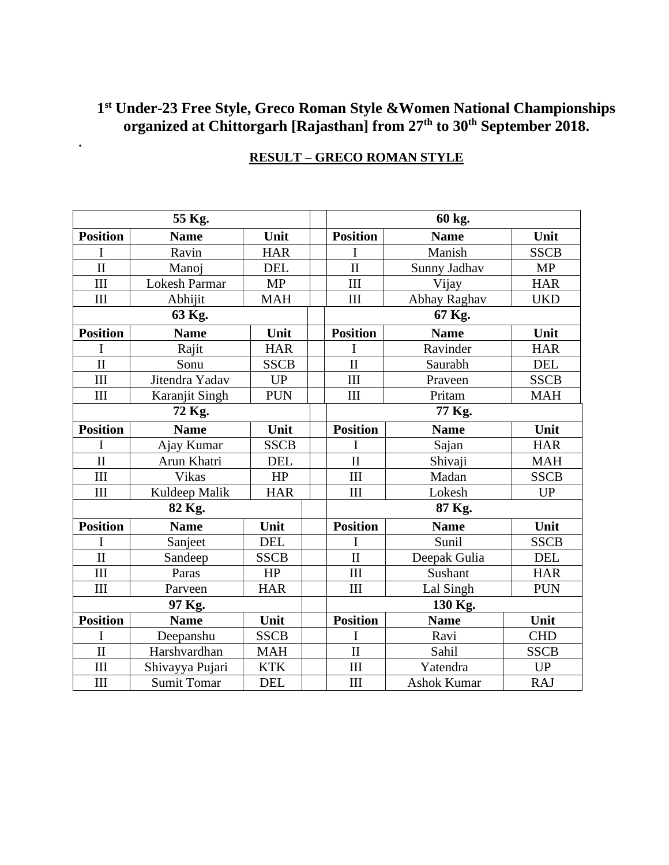### **1 st Under-23 Free Style, Greco Roman Style &Women National Championships organized at Chittorgarh [Rajasthan] from 27th to 30th September 2018.**

|                     | 55 Kg.               |             |  |                         | 60 kg.             |             |  |
|---------------------|----------------------|-------------|--|-------------------------|--------------------|-------------|--|
| <b>Position</b>     | <b>Name</b>          | Unit        |  | <b>Position</b>         | <b>Name</b>        | Unit        |  |
| I                   | Ravin                | <b>HAR</b>  |  | I                       | Manish             | <b>SSCB</b> |  |
| $\overline{\rm II}$ | Manoj                | <b>DEL</b>  |  | $\overline{\mathbf{H}}$ | Sunny Jadhav       | <b>MP</b>   |  |
| III                 | <b>Lokesh Parmar</b> | <b>MP</b>   |  | III                     | Vijay              | <b>HAR</b>  |  |
| III                 | Abhijit              | <b>MAH</b>  |  | III                     | Abhay Raghav       | <b>UKD</b>  |  |
| 63 Kg.              |                      |             |  | 67 Kg.                  |                    |             |  |
| <b>Position</b>     | <b>Name</b>          | Unit        |  | <b>Position</b>         | <b>Name</b>        | Unit        |  |
| I                   | Rajit                | <b>HAR</b>  |  | I                       | Ravinder           | <b>HAR</b>  |  |
| $\overline{\rm II}$ | Sonu                 | <b>SSCB</b> |  | $\overline{\rm II}$     | Saurabh            | <b>DEL</b>  |  |
| III                 | Jitendra Yadav       | <b>UP</b>   |  | III                     | Praveen            | <b>SSCB</b> |  |
| III                 | Karanjit Singh       | <b>PUN</b>  |  | III                     | Pritam             | <b>MAH</b>  |  |
| 72 Kg.              |                      |             |  | 77 Kg.                  |                    |             |  |
| <b>Position</b>     | <b>Name</b>          | Unit        |  | <b>Position</b>         | <b>Name</b>        | Unit        |  |
| I                   | Ajay Kumar           | <b>SSCB</b> |  |                         | Sajan              | <b>HAR</b>  |  |
| $\overline{\rm II}$ | Arun Khatri          | <b>DEL</b>  |  | $\overline{\rm II}$     | Shivaji            | <b>MAH</b>  |  |
| III                 | Vikas                | HP          |  | III                     | Madan              | <b>SSCB</b> |  |
| Ш                   | Kuldeep Malik        | <b>HAR</b>  |  | III                     | Lokesh             | UP          |  |
| 82 Kg.              |                      |             |  | 87 Kg.                  |                    |             |  |
| <b>Position</b>     | <b>Name</b>          | Unit        |  | <b>Position</b>         | <b>Name</b>        | Unit        |  |
| I                   | Sanjeet              | <b>DEL</b>  |  | I                       | Sunil              | <b>SSCB</b> |  |
| $\overline{\rm II}$ | Sandeep              | <b>SSCB</b> |  | $\mathbf{I}$            | Deepak Gulia       | <b>DEL</b>  |  |
| III                 | Paras                | HP          |  | III                     | Sushant            | <b>HAR</b>  |  |
| III                 | Parveen              | <b>HAR</b>  |  | III                     | Lal Singh          | <b>PUN</b>  |  |
| 97 Kg.              |                      |             |  | 130 Kg.                 |                    |             |  |
| <b>Position</b>     | <b>Name</b>          | Unit        |  | <b>Position</b>         | <b>Name</b>        | Unit        |  |
| I                   | Deepanshu            | <b>SSCB</b> |  | I                       | Ravi               | <b>CHD</b>  |  |
| $\mathbf{I}$        | Harshvardhan         | <b>MAH</b>  |  | $\mathbf{I}$            | Sahil              | <b>SSCB</b> |  |
| III                 | Shivayya Pujari      | <b>KTK</b>  |  | III                     | Yatendra           | <b>UP</b>   |  |
| III                 | <b>Sumit Tomar</b>   | <b>DEL</b>  |  | $\rm III$               | <b>Ashok Kumar</b> | <b>RAJ</b>  |  |

## **RESULT – GRECO ROMAN STYLE**

**.**